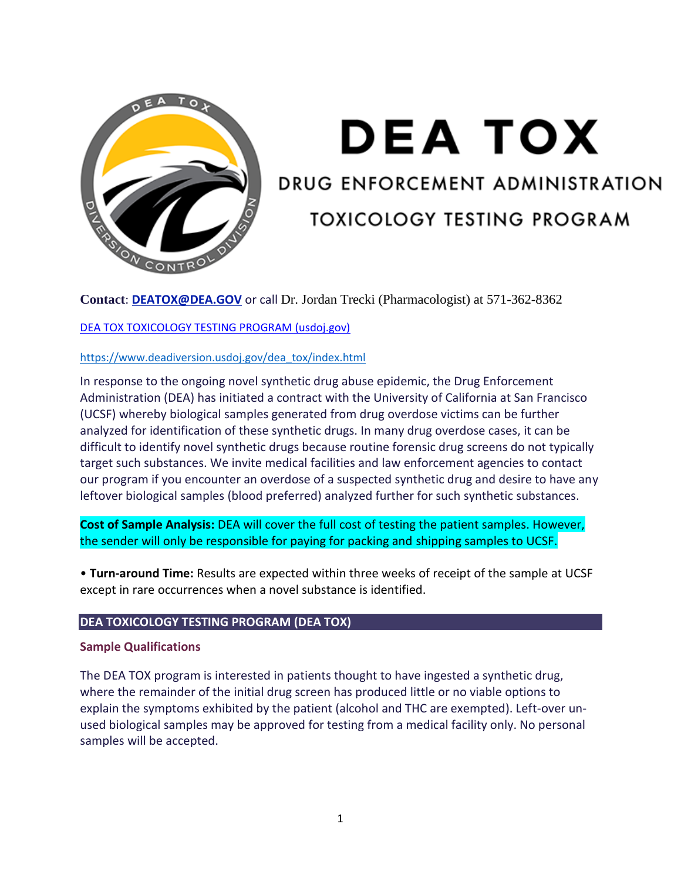

# **DEA TOX**

# DRUG ENFORCEMENT ADMINISTRATION

# **TOXICOLOGY TESTING PROGRAM**

**Contact**: **[DEATOX@DEA.GOV](mailto:deatox@usdoj.gov)** or call Dr. Jordan Trecki (Pharmacologist) at 571-362-8362

# [DEA TOX TOXICOLOGY TESTING PROGRAM \(usdoj.gov\)](https://www.deadiversion.usdoj.gov/dea_tox/index.html)

# [https://www.deadiversion.usdoj.gov/dea\\_tox/index.html](https://www.deadiversion.usdoj.gov/dea_tox/index.html)

In response to the ongoing novel synthetic drug abuse epidemic, the Drug Enforcement Administration (DEA) has initiated a contract with the University of California at San Francisco (UCSF) whereby biological samples generated from drug overdose victims can be further analyzed for identification of these synthetic drugs. In many drug overdose cases, it can be difficult to identify novel synthetic drugs because routine forensic drug screens do not typically target such substances. We invite medical facilities and law enforcement agencies to contact our program if you encounter an overdose of a suspected synthetic drug and desire to have any leftover biological samples (blood preferred) analyzed further for such synthetic substances.

**Cost of Sample Analysis:** DEA will cover the full cost of testing the patient samples. However, the sender will only be responsible for paying for packing and shipping samples to UCSF.

• **Turn-around Time:** Results are expected within three weeks of receipt of the sample at UCSF except in rare occurrences when a novel substance is identified.

#### **DEA TOXICOLOGY TESTING PROGRAM (DEA TOX)**

#### **Sample Qualifications**

The DEA TOX program is interested in patients thought to have ingested a synthetic drug, where the remainder of the initial drug screen has produced little or no viable options to explain the symptoms exhibited by the patient (alcohol and THC are exempted). Left-over unused biological samples may be approved for testing from a medical facility only. No personal samples will be accepted.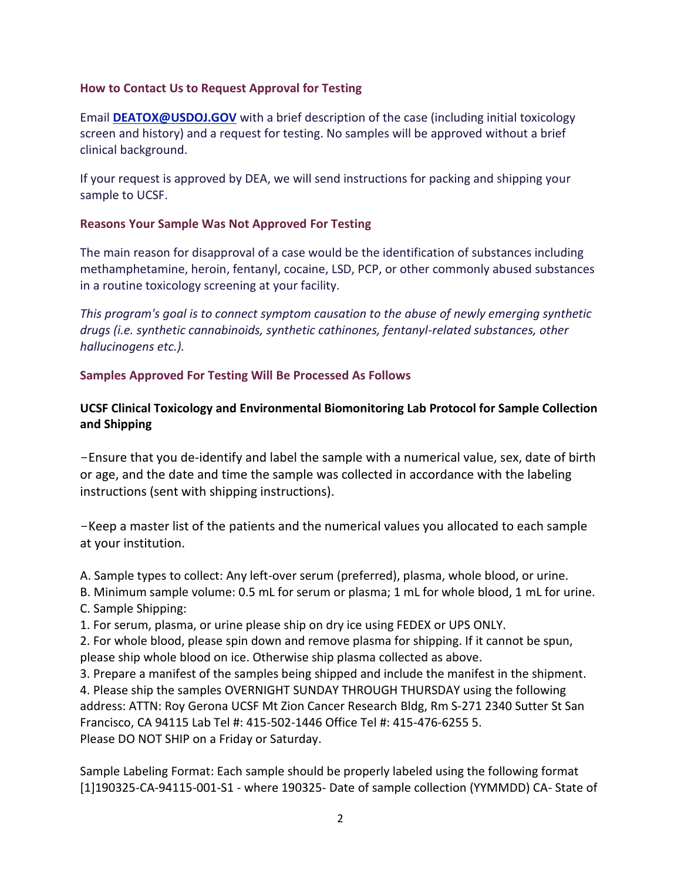# **How to Contact Us to Request Approval for Testing**

Email **[DEATOX@USDOJ.GOV](mailto:deatox@usdoj.gov)** with a brief description of the case (including initial toxicology screen and history) and a request for testing. No samples will be approved without a brief clinical background.

If your request is approved by DEA, we will send instructions for packing and shipping your sample to UCSF.

# **Reasons Your Sample Was Not Approved For Testing**

The main reason for disapproval of a case would be the identification of substances including methamphetamine, heroin, fentanyl, cocaine, LSD, PCP, or other commonly abused substances in a routine toxicology screening at your facility.

*This program's goal is to connect symptom causation to the abuse of newly emerging synthetic drugs (i.e. synthetic cannabinoids, synthetic cathinones, fentanyl-related substances, other hallucinogens etc.).*

# **Samples Approved For Testing Will Be Processed As Follows**

# **UCSF Clinical Toxicology and Environmental Biomonitoring Lab Protocol for Sample Collection and Shipping**

-Ensure that you de-identify and label the sample with a numerical value, sex, date of birth or age, and the date and time the sample was collected in accordance with the labeling instructions (sent with shipping instructions).

-Keep a master list of the patients and the numerical values you allocated to each sample at your institution.

A. Sample types to collect: Any left-over serum (preferred), plasma, whole blood, or urine.

B. Minimum sample volume: 0.5 mL for serum or plasma; 1 mL for whole blood, 1 mL for urine.

C. Sample Shipping:

1. For serum, plasma, or urine please ship on dry ice using FEDEX or UPS ONLY.

2. For whole blood, please spin down and remove plasma for shipping. If it cannot be spun, please ship whole blood on ice. Otherwise ship plasma collected as above.

3. Prepare a manifest of the samples being shipped and include the manifest in the shipment. 4. Please ship the samples OVERNIGHT SUNDAY THROUGH THURSDAY using the following address: ATTN: Roy Gerona UCSF Mt Zion Cancer Research Bldg, Rm S-271 2340 Sutter St San Francisco, CA 94115 Lab Tel #: 415-502-1446 Office Tel #: 415-476-6255 5. Please DO NOT SHIP on a Friday or Saturday.

Sample Labeling Format: Each sample should be properly labeled using the following format [1]190325-CA-94115-001-S1 - where 190325- Date of sample collection (YYMMDD) CA- State of